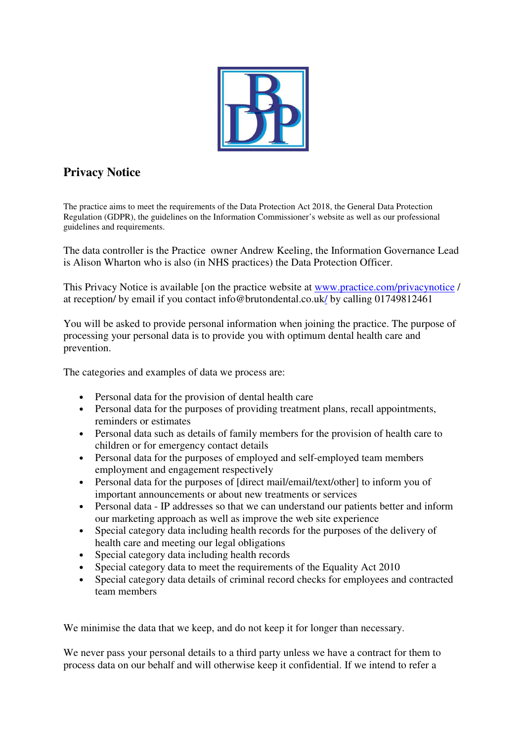

# **Privacy Notice**

The practice aims to meet the requirements of the Data Protection Act 2018, the General Data Protection Regulation (GDPR), the guidelines on the Information Commissioner's website as well as our professional guidelines and requirements.

The data controller is the Practice owner Andrew Keeling, the Information Governance Lead is Alison Wharton who is also (in NHS practices) the Data Protection Officer.

This Privacy Notice is available [on the practice website at www.practice.com/privacynotice / at reception/ by email if you contact info@brutondental.co.uk/ by calling 01749812461

You will be asked to provide personal information when joining the practice. The purpose of processing your personal data is to provide you with optimum dental health care and prevention.

The categories and examples of data we process are:

- Personal data for the provision of dental health care
- Personal data for the purposes of providing treatment plans, recall appointments, reminders or estimates
- Personal data such as details of family members for the provision of health care to children or for emergency contact details
- Personal data for the purposes of employed and self-employed team members employment and engagement respectively
- Personal data for the purposes of [direct mail/email/text/other] to inform you of important announcements or about new treatments or services
- Personal data IP addresses so that we can understand our patients better and inform our marketing approach as well as improve the web site experience
- Special category data including health records for the purposes of the delivery of health care and meeting our legal obligations
- Special category data including health records
- Special category data to meet the requirements of the Equality Act 2010
- Special category data details of criminal record checks for employees and contracted team members

We minimise the data that we keep, and do not keep it for longer than necessary.

We never pass your personal details to a third party unless we have a contract for them to process data on our behalf and will otherwise keep it confidential. If we intend to refer a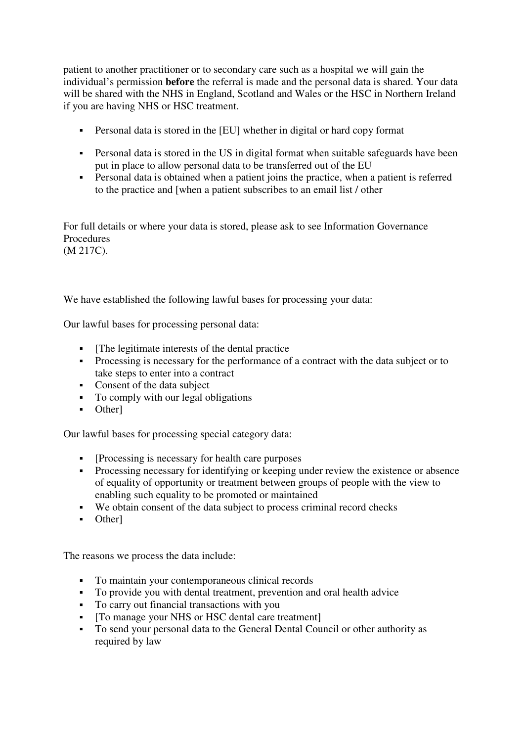patient to another practitioner or to secondary care such as a hospital we will gain the individual's permission **before** the referral is made and the personal data is shared. Your data will be shared with the NHS in England, Scotland and Wales or the HSC in Northern Ireland if you are having NHS or HSC treatment.

- Personal data is stored in the [EU] whether in digital or hard copy format
- Personal data is stored in the US in digital format when suitable safeguards have been put in place to allow personal data to be transferred out of the EU
- Personal data is obtained when a patient joins the practice, when a patient is referred to the practice and [when a patient subscribes to an email list / other

For full details or where your data is stored, please ask to see Information Governance **Procedures** (M 217C).

We have established the following lawful bases for processing your data:

Our lawful bases for processing personal data:

- The legitimate interests of the dental practice
- Processing is necessary for the performance of a contract with the data subject or to take steps to enter into a contract
- Consent of the data subject
- To comply with our legal obligations
- Other]

Our lawful bases for processing special category data:

- [Processing is necessary for health care purposes]
- **Processing necessary for identifying or keeping under review the existence or absence** of equality of opportunity or treatment between groups of people with the view to enabling such equality to be promoted or maintained
- We obtain consent of the data subject to process criminal record checks
- Other]

The reasons we process the data include:

- To maintain your contemporaneous clinical records
- To provide you with dental treatment, prevention and oral health advice
- To carry out financial transactions with you
- [To manage your NHS or HSC dental care treatment]
- To send your personal data to the General Dental Council or other authority as required by law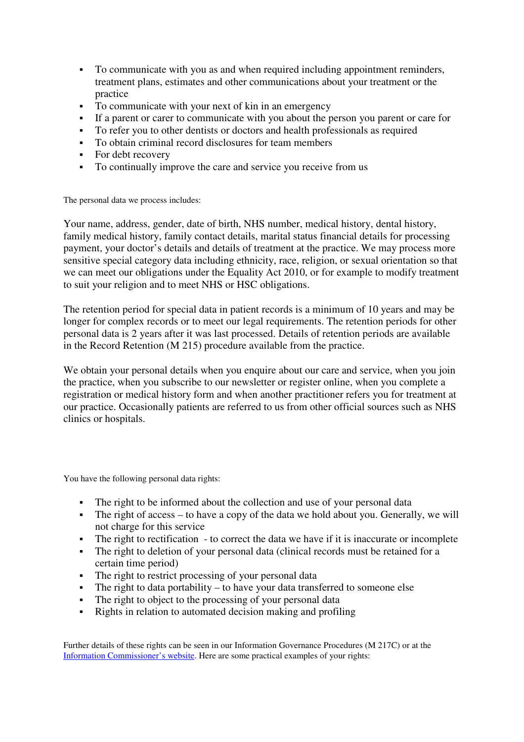- To communicate with you as and when required including appointment reminders, treatment plans, estimates and other communications about your treatment or the practice
- To communicate with your next of kin in an emergency
- If a parent or carer to communicate with you about the person you parent or care for
- To refer you to other dentists or doctors and health professionals as required
- To obtain criminal record disclosures for team members
- For debt recovery
- To continually improve the care and service you receive from us

The personal data we process includes:

Your name, address, gender, date of birth, NHS number, medical history, dental history, family medical history, family contact details, marital status financial details for processing payment, your doctor's details and details of treatment at the practice. We may process more sensitive special category data including ethnicity, race, religion, or sexual orientation so that we can meet our obligations under the Equality Act 2010, or for example to modify treatment to suit your religion and to meet NHS or HSC obligations.

The retention period for special data in patient records is a minimum of 10 years and may be longer for complex records or to meet our legal requirements. The retention periods for other personal data is 2 years after it was last processed. Details of retention periods are available in the Record Retention (M 215) procedure available from the practice.

We obtain your personal details when you enquire about our care and service, when you join the practice, when you subscribe to our newsletter or register online, when you complete a registration or medical history form and when another practitioner refers you for treatment at our practice. Occasionally patients are referred to us from other official sources such as NHS clinics or hospitals.

You have the following personal data rights:

- The right to be informed about the collection and use of your personal data
- The right of access to have a copy of the data we hold about you. Generally, we will not charge for this service
- The right to rectification to correct the data we have if it is inaccurate or incomplete
- The right to deletion of your personal data (clinical records must be retained for a certain time period)
- The right to restrict processing of your personal data
- The right to data portability to have your data transferred to someone else
- The right to object to the processing of your personal data
- Rights in relation to automated decision making and profiling

Further details of these rights can be seen in our Information Governance Procedures (M 217C) or at the Information Commissioner's website. Here are some practical examples of your rights: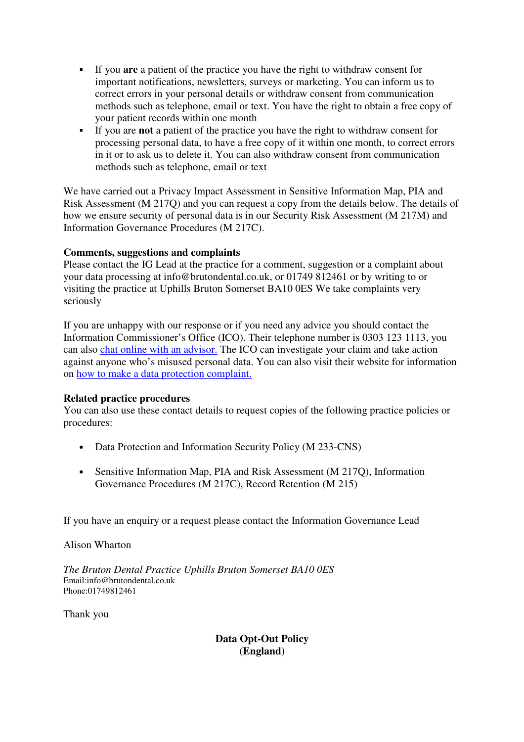- If you **are** a patient of the practice you have the right to withdraw consent for important notifications, newsletters, surveys or marketing. You can inform us to correct errors in your personal details or withdraw consent from communication methods such as telephone, email or text. You have the right to obtain a free copy of your patient records within one month
- If you are **not** a patient of the practice you have the right to withdraw consent for processing personal data, to have a free copy of it within one month, to correct errors in it or to ask us to delete it. You can also withdraw consent from communication methods such as telephone, email or text

We have carried out a Privacy Impact Assessment in Sensitive Information Map, PIA and Risk Assessment (M 217Q) and you can request a copy from the details below. The details of how we ensure security of personal data is in our Security Risk Assessment (M 217M) and Information Governance Procedures (M 217C).

# **Comments, suggestions and complaints**

Please contact the IG Lead at the practice for a comment, suggestion or a complaint about your data processing at info@brutondental.co.uk, or 01749 812461 or by writing to or visiting the practice at Uphills Bruton Somerset BA10 0ES We take complaints very seriously

If you are unhappy with our response or if you need any advice you should contact the Information Commissioner's Office (ICO). Their telephone number is 0303 123 1113, you can also chat online with an advisor. The ICO can investigate your claim and take action against anyone who's misused personal data. You can also visit their website for information on how to make a data protection complaint.

#### **Related practice procedures**

You can also use these contact details to request copies of the following practice policies or procedures:

- Data Protection and Information Security Policy (M 233-CNS)
- Sensitive Information Map, PIA and Risk Assessment (M 217O), Information Governance Procedures (M 217C), Record Retention (M 215)

If you have an enquiry or a request please contact the Information Governance Lead

Alison Wharton

*The Bruton Dental Practice Uphills Bruton Somerset BA10 0ES*  Email:info@brutondental.co.uk Phone:01749812461

Thank you

**Data Opt-Out Policy (England)**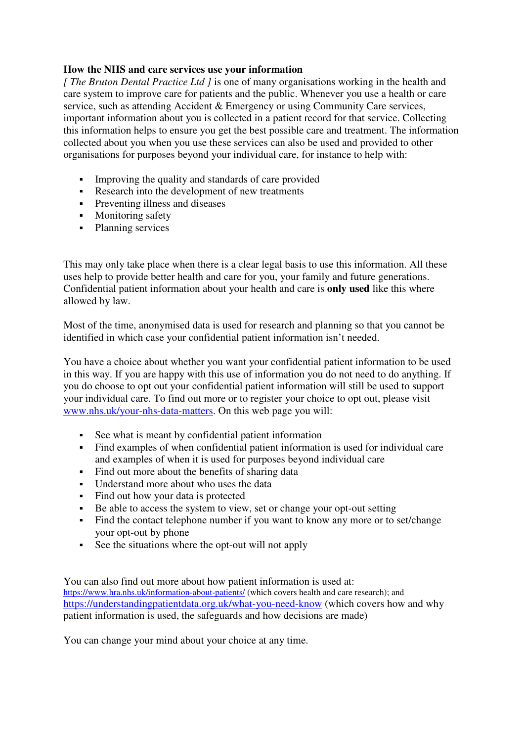## **How the NHS and care services use your information**

*[ The Bruton Dental Practice Ltd ]* is one of many organisations working in the health and care system to improve care for patients and the public. Whenever you use a health or care service, such as attending Accident & Emergency or using Community Care services, important information about you is collected in a patient record for that service. Collecting this information helps to ensure you get the best possible care and treatment. The information collected about you when you use these services can also be used and provided to other organisations for purposes beyond your individual care, for instance to help with:

- Improving the quality and standards of care provided
- Research into the development of new treatments
- **Preventing illness and diseases**
- Monitoring safety
- Planning services

This may only take place when there is a clear legal basis to use this information. All these uses help to provide better health and care for you, your family and future generations. Confidential patient information about your health and care is **only used** like this where allowed by law.

Most of the time, anonymised data is used for research and planning so that you cannot be identified in which case your confidential patient information isn't needed.

You have a choice about whether you want your confidential patient information to be used in this way. If you are happy with this use of information you do not need to do anything. If you do choose to opt out your confidential patient information will still be used to support your individual care. To find out more or to register your choice to opt out, please visit www.nhs.uk/your-nhs-data-matters. On this web page you will:

- See what is meant by confidential patient information
- Find examples of when confidential patient information is used for individual care and examples of when it is used for purposes beyond individual care
- Find out more about the benefits of sharing data
- Understand more about who uses the data
- Find out how your data is protected
- Be able to access the system to view, set or change your opt-out setting<br>Find the contact telephone number if you want to know any more or to
- Find the contact telephone number if you want to know any more or to set/change your opt-out by phone
- See the situations where the opt-out will not apply

You can also find out more about how patient information is used at: https://www.hra.nhs.uk/information-about-patients/ (which covers health and care research); and https://understandingpatientdata.org.uk/what-you-need-know (which covers how and why patient information is used, the safeguards and how decisions are made)

You can change your mind about your choice at any time.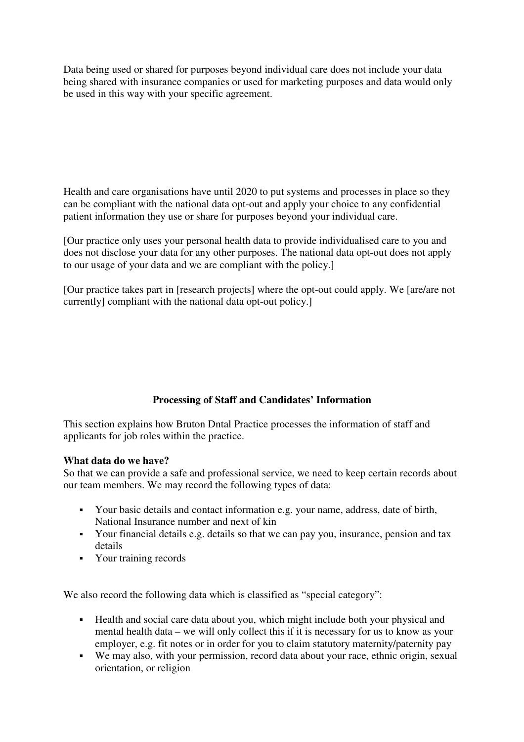Data being used or shared for purposes beyond individual care does not include your data being shared with insurance companies or used for marketing purposes and data would only be used in this way with your specific agreement.

Health and care organisations have until 2020 to put systems and processes in place so they can be compliant with the national data opt-out and apply your choice to any confidential patient information they use or share for purposes beyond your individual care.

[Our practice only uses your personal health data to provide individualised care to you and does not disclose your data for any other purposes. The national data opt-out does not apply to our usage of your data and we are compliant with the policy.]

[Our practice takes part in [research projects] where the opt-out could apply. We [are/are not currently] compliant with the national data opt-out policy.]

# **Processing of Staff and Candidates' Information**

This section explains how Bruton Dntal Practice processes the information of staff and applicants for job roles within the practice.

#### **What data do we have?**

So that we can provide a safe and professional service, we need to keep certain records about our team members. We may record the following types of data:

- Your basic details and contact information e.g. your name, address, date of birth, National Insurance number and next of kin
- Your financial details e.g. details so that we can pay you, insurance, pension and tax details
- Your training records

We also record the following data which is classified as "special category":

- Health and social care data about you, which might include both your physical and mental health data – we will only collect this if it is necessary for us to know as your employer, e.g. fit notes or in order for you to claim statutory maternity/paternity pay
- We may also, with your permission, record data about your race, ethnic origin, sexual orientation, or religion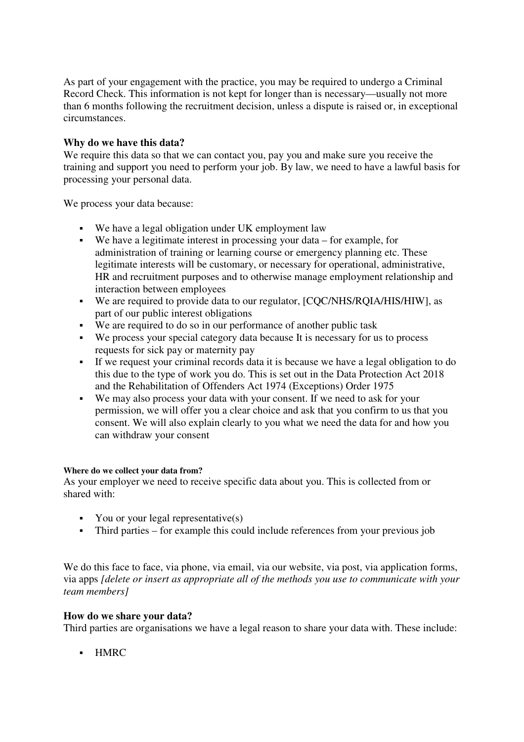As part of your engagement with the practice, you may be required to undergo a Criminal Record Check. This information is not kept for longer than is necessary—usually not more than 6 months following the recruitment decision, unless a dispute is raised or, in exceptional circumstances.

## **Why do we have this data?**

We require this data so that we can contact you, pay you and make sure you receive the training and support you need to perform your job. By law, we need to have a lawful basis for processing your personal data.

We process your data because:

- We have a legal obligation under UK employment law
- We have a legitimate interest in processing your data for example, for administration of training or learning course or emergency planning etc. These legitimate interests will be customary, or necessary for operational, administrative, HR and recruitment purposes and to otherwise manage employment relationship and interaction between employees
- We are required to provide data to our regulator, [CQC/NHS/RQIA/HIS/HIW], as part of our public interest obligations
- We are required to do so in our performance of another public task
- We process your special category data because It is necessary for us to process requests for sick pay or maternity pay
- If we request your criminal records data it is because we have a legal obligation to do this due to the type of work you do. This is set out in the Data Protection Act 2018 and the Rehabilitation of Offenders Act 1974 (Exceptions) Order 1975
- We may also process your data with your consent. If we need to ask for your permission, we will offer you a clear choice and ask that you confirm to us that you consent. We will also explain clearly to you what we need the data for and how you can withdraw your consent

#### **Where do we collect your data from?**

As your employer we need to receive specific data about you. This is collected from or shared with:

- You or your legal representative $(s)$
- Third parties for example this could include references from your previous job

We do this face to face, via phone, via email, via our website, via post, via application forms, via apps *[delete or insert as appropriate all of the methods you use to communicate with your team members]*

#### **How do we share your data?**

Third parties are organisations we have a legal reason to share your data with. These include:

- HMRC